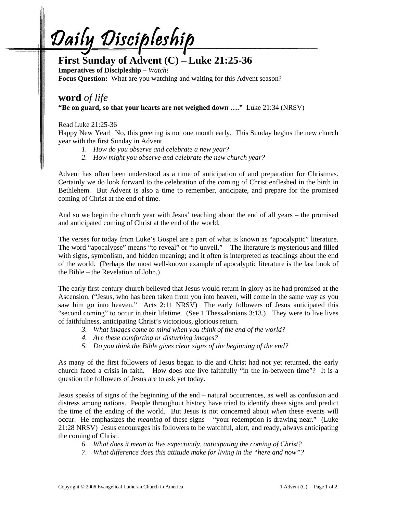Daily Discipleship

## **First Sunday of Advent (C) – Luke 21:25-36**

**Imperatives of Discipleship –** *Watch!*  **Focus Question:** What are you watching and waiting for this Advent season?

## **word** *of life*  **"Be on guard, so that your hearts are not weighed down …."** Luke 21:34 (NRSV)

Read Luke 21:25-36

Happy New Year! No, this greeting is not one month early. This Sunday begins the new church year with the first Sunday in Advent.

- *1. How do you observe and celebrate a new year?*
- *2. How might you observe and celebrate the new church year?*

Advent has often been understood as a time of anticipation of and preparation for Christmas. Certainly we do look forward to the celebration of the coming of Christ enfleshed in the birth in Bethlehem. But Advent is also a time to remember, anticipate, and prepare for the promised coming of Christ at the end of time.

And so we begin the church year with Jesus' teaching about the end of all years – the promised and anticipated coming of Christ at the end of the world.

The verses for today from Luke's Gospel are a part of what is known as "apocalyptic" literature. The word "apocalypse" means "to reveal" or "to unveil." The literature is mysterious and filled with signs, symbolism, and hidden meaning; and it often is interpreted as teachings about the end of the world. (Perhaps the most well-known example of apocalyptic literature is the last book of the Bible – the Revelation of John.)

The early first-century church believed that Jesus would return in glory as he had promised at the Ascension. ("Jesus, who has been taken from you into heaven, will come in the same way as you saw him go into heaven." Acts 2:11 NRSV) The early followers of Jesus anticipated this "second coming" to occur in their lifetime. (See 1 Thessalonians 3:13.) They were to live lives of faithfulness, anticipating Christ's victorious, glorious return.

- *3. What images come to mind when you think of the end of the world?*
- *4. Are these comforting or disturbing images?*
- *5. Do you think the Bible gives clear signs of the beginning of the end?*

As many of the first followers of Jesus began to die and Christ had not yet returned, the early church faced a crisis in faith. How does one live faithfully "in the in-between time"? It is a question the followers of Jesus are to ask yet today.

Jesus speaks of signs of the beginning of the end – natural occurrences, as well as confusion and distress among nations. People throughout history have tried to identify these signs and predict the time of the ending of the world. But Jesus is not concerned about *when* these events will occur. He emphasizes the *meaning* of these signs – "your redemption is drawing near." (Luke 21:28 NRSV) Jesus encourages his followers to be watchful, alert, and ready, always anticipating the coming of Christ.

- *6. What does it mean to live expectantly, anticipating the coming of Christ?*
- *7. What difference does this attitude make for living in the "here and now"?*